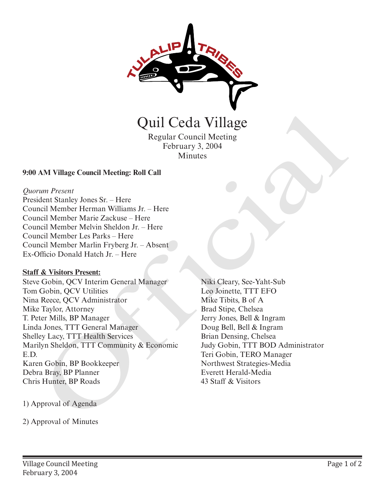

Quil Ceda Village

Regular Council Meeting February 3, 2004 Minutes

### **9:00 AM Village Council Meeting: Roll Call**

#### *Quorum Present*

President Stanley Jones Sr. – Here Council Member Herman Williams Jr. – Here Council Member Marie Zackuse – Here Council Member Melvin Sheldon Jr. – Here Council Member Les Parks – Here Council Member Marlin Fryberg Jr. – Absent Ex-Officio Donald Hatch Jr. – Here

# **Staff & Visitors Present:**

Steve Gobin, QCV Interim General Manager Tom Gobin, QCV Utilities Nina Reece, QCV Administrator Mike Taylor, Attorney T. Peter Mills, BP Manager Linda Jones, TTT General Manager Shelley Lacy, TTT Health Services Marilyn Sheldon, TTT Community & Economic E.D. Karen Gobin, BP Bookkeeper Debra Bray, BP Planner Chris Hunter, BP Roads **2)** Capacitical Capacitics<br>
2) Approval of Minutes<br>
2) Approval of Minutes<br>
2) Approval of Minutes<br>
2) Approval of Minutes Minutes Minutes<br>
2) Approval Minutes Minutes Minutes Minutes Minutes Minutes Minutes Minutes Minut

Niki Cleary, See-Yaht-Sub Leo Joinette, TTT EFO Mike Tibits, B of A Brad Stipe, Chelsea Jerry Jones, Bell & Ingram Doug Bell, Bell & Ingram Brian Densing, Chelsea Judy Gobin, TTT BOD Administrator Teri Gobin, TERO Manager Northwest Strategies-Media Everett Herald-Media 43 Staff & Visitors

1) Approval of Agenda